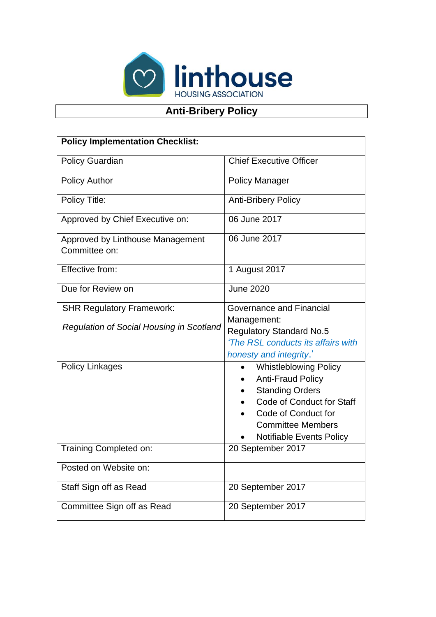

## **Anti-Bribery Policy**

| <b>Policy Implementation Checklist:</b>           |                                                                                                                                                                                                                                 |
|---------------------------------------------------|---------------------------------------------------------------------------------------------------------------------------------------------------------------------------------------------------------------------------------|
| <b>Policy Guardian</b>                            | <b>Chief Executive Officer</b>                                                                                                                                                                                                  |
| <b>Policy Author</b>                              | <b>Policy Manager</b>                                                                                                                                                                                                           |
| Policy Title:                                     | <b>Anti-Bribery Policy</b>                                                                                                                                                                                                      |
| Approved by Chief Executive on:                   | 06 June 2017                                                                                                                                                                                                                    |
| Approved by Linthouse Management<br>Committee on: | 06 June 2017                                                                                                                                                                                                                    |
| Effective from:                                   | 1 August 2017                                                                                                                                                                                                                   |
| Due for Review on                                 | <b>June 2020</b>                                                                                                                                                                                                                |
| <b>SHR Regulatory Framework:</b>                  | <b>Governance and Financial</b>                                                                                                                                                                                                 |
| <b>Regulation of Social Housing in Scotland</b>   | Management:<br><b>Regulatory Standard No.5</b><br>'The RSL conducts its affairs with<br>honesty and integrity.'                                                                                                                 |
| <b>Policy Linkages</b>                            | <b>Whistleblowing Policy</b><br>$\bullet$<br><b>Anti-Fraud Policy</b><br><b>Standing Orders</b><br>$\bullet$<br>Code of Conduct for Staff<br>Code of Conduct for<br><b>Committee Members</b><br><b>Notifiable Events Policy</b> |
| Training Completed on:                            | 20 September 2017                                                                                                                                                                                                               |
| Posted on Website on:                             |                                                                                                                                                                                                                                 |
| Staff Sign off as Read                            | 20 September 2017                                                                                                                                                                                                               |
| Committee Sign off as Read                        | 20 September 2017                                                                                                                                                                                                               |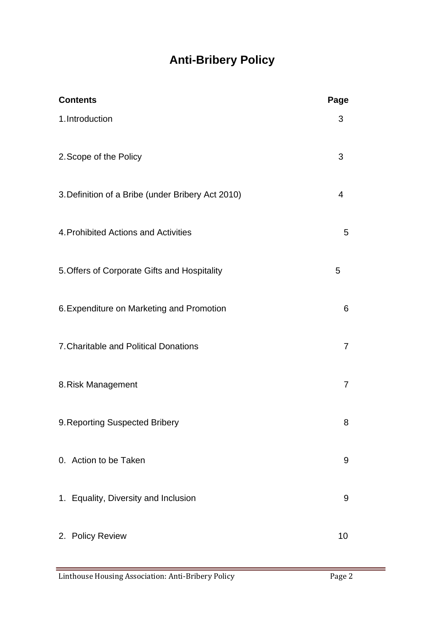# **Anti-Bribery Policy**

| <b>Contents</b>                                   | Page           |
|---------------------------------------------------|----------------|
| 1. Introduction                                   | 3              |
| 2. Scope of the Policy                            | 3              |
| 3. Definition of a Bribe (under Bribery Act 2010) | 4              |
| 4. Prohibited Actions and Activities              | 5              |
| 5. Offers of Corporate Gifts and Hospitality      | 5              |
| 6. Expenditure on Marketing and Promotion         | 6              |
| 7. Charitable and Political Donations             | $\overline{7}$ |
| 8. Risk Management                                | 7              |
| 9. Reporting Suspected Bribery                    | 8              |
| 0. Action to be Taken                             | 9              |
| 1. Equality, Diversity and Inclusion              | 9              |
| 2. Policy Review                                  | 10             |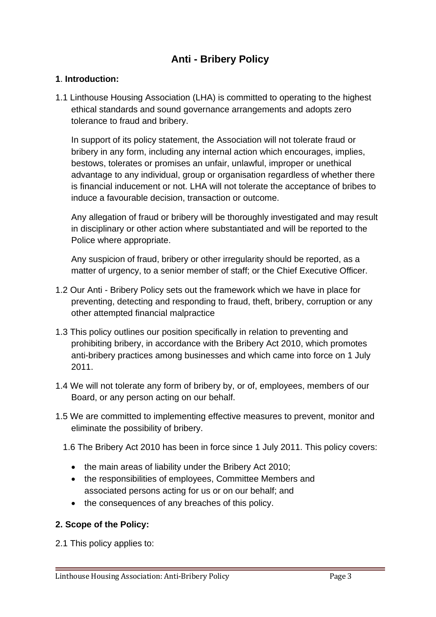### **Anti - Bribery Policy**

#### **1**. **Introduction:**

1.1 Linthouse Housing Association (LHA) is committed to operating to the highest ethical standards and sound governance arrangements and adopts zero tolerance to fraud and bribery.

In support of its policy statement, the Association will not tolerate fraud or bribery in any form, including any internal action which encourages, implies, bestows, tolerates or promises an unfair, unlawful, improper or unethical advantage to any individual, group or organisation regardless of whether there is financial inducement or not. LHA will not tolerate the acceptance of bribes to induce a favourable decision, transaction or outcome.

Any allegation of fraud or bribery will be thoroughly investigated and may result in disciplinary or other action where substantiated and will be reported to the Police where appropriate.

Any suspicion of fraud, bribery or other irregularity should be reported, as a matter of urgency, to a senior member of staff; or the Chief Executive Officer.

- 1.2 Our Anti Bribery Policy sets out the framework which we have in place for preventing, detecting and responding to fraud, theft, bribery, corruption or any other attempted financial malpractice
- 1.3 This policy outlines our position specifically in relation to preventing and prohibiting bribery, in accordance with the Bribery Act 2010, which promotes anti-bribery practices among businesses and which came into force on 1 July 2011.
- 1.4 We will not tolerate any form of bribery by, or of, employees, members of our Board, or any person acting on our behalf.
- 1.5 We are committed to implementing effective measures to prevent, monitor and eliminate the possibility of bribery.
	- 1.6 The Bribery Act 2010 has been in force since 1 July 2011. This policy covers:
		- the main areas of liability under the Bribery Act 2010;
		- the responsibilities of employees, Committee Members and associated persons acting for us or on our behalf; and
		- the consequences of any breaches of this policy.

#### **2. Scope of the Policy:**

2.1 This policy applies to: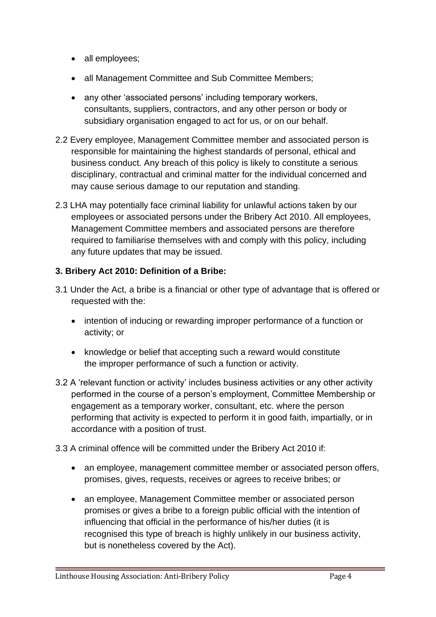- all employees;
- all Management Committee and Sub Committee Members;
- any other 'associated persons' including temporary workers, consultants, suppliers, contractors, and any other person or body or subsidiary organisation engaged to act for us, or on our behalf.
- 2.2 Every employee, Management Committee member and associated person is responsible for maintaining the highest standards of personal, ethical and business conduct. Any breach of this policy is likely to constitute a serious disciplinary, contractual and criminal matter for the individual concerned and may cause serious damage to our reputation and standing.
- 2.3 LHA may potentially face criminal liability for unlawful actions taken by our employees or associated persons under the Bribery Act 2010. All employees, Management Committee members and associated persons are therefore required to familiarise themselves with and comply with this policy, including any future updates that may be issued.

#### **3. Bribery Act 2010: Definition of a Bribe:**

- 3.1 Under the Act, a bribe is a financial or other type of advantage that is offered or requested with the:
	- intention of inducing or rewarding improper performance of a function or activity; or
	- knowledge or belief that accepting such a reward would constitute the improper performance of such a function or activity.
- 3.2 A 'relevant function or activity' includes business activities or any other activity performed in the course of a person's employment, Committee Membership or engagement as a temporary worker, consultant, etc. where the person performing that activity is expected to perform it in good faith, impartially, or in accordance with a position of trust.

#### 3.3 A criminal offence will be committed under the Bribery Act 2010 if:

- an employee, management committee member or associated person offers, promises, gives, requests, receives or agrees to receive bribes; or
- an employee, Management Committee member or associated person promises or gives a bribe to a foreign public official with the intention of influencing that official in the performance of his/her duties (it is recognised this type of breach is highly unlikely in our business activity, but is nonetheless covered by the Act).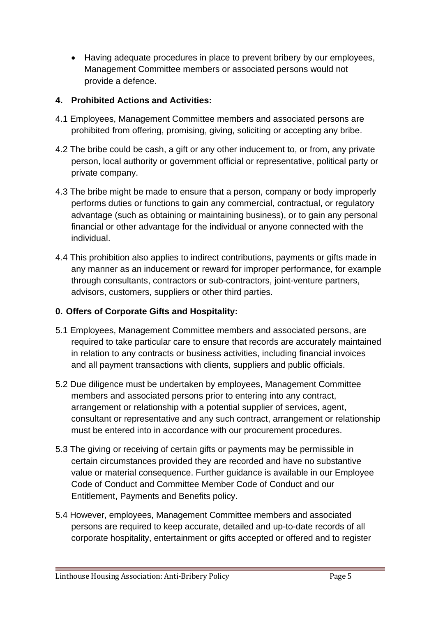• Having adequate procedures in place to prevent bribery by our employees, Management Committee members or associated persons would not provide a defence.

#### **4. Prohibited Actions and Activities:**

- 4.1 Employees, Management Committee members and associated persons are prohibited from offering, promising, giving, soliciting or accepting any bribe.
- 4.2 The bribe could be cash, a gift or any other inducement to, or from, any private person, local authority or government official or representative, political party or private company.
- 4.3 The bribe might be made to ensure that a person, company or body improperly performs duties or functions to gain any commercial, contractual, or regulatory advantage (such as obtaining or maintaining business), or to gain any personal financial or other advantage for the individual or anyone connected with the individual.
- 4.4 This prohibition also applies to indirect contributions, payments or gifts made in any manner as an inducement or reward for improper performance, for example through consultants, contractors or sub-contractors, joint-venture partners, advisors, customers, suppliers or other third parties.

#### **0. Offers of Corporate Gifts and Hospitality:**

- 5.1 Employees, Management Committee members and associated persons, are required to take particular care to ensure that records are accurately maintained in relation to any contracts or business activities, including financial invoices and all payment transactions with clients, suppliers and public officials.
- 5.2 Due diligence must be undertaken by employees, Management Committee members and associated persons prior to entering into any contract, arrangement or relationship with a potential supplier of services, agent, consultant or representative and any such contract, arrangement or relationship must be entered into in accordance with our procurement procedures.
- 5.3 The giving or receiving of certain gifts or payments may be permissible in certain circumstances provided they are recorded and have no substantive value or material consequence. Further guidance is available in our Employee Code of Conduct and Committee Member Code of Conduct and our Entitlement, Payments and Benefits policy.
- 5.4 However, employees, Management Committee members and associated persons are required to keep accurate, detailed and up-to-date records of all corporate hospitality, entertainment or gifts accepted or offered and to register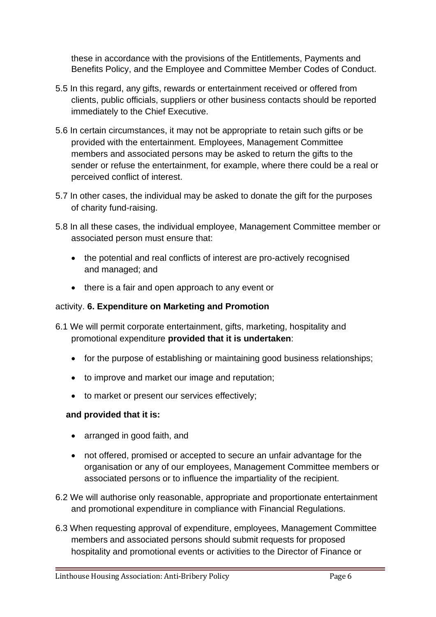these in accordance with the provisions of the Entitlements, Payments and Benefits Policy, and the Employee and Committee Member Codes of Conduct.

- 5.5 In this regard, any gifts, rewards or entertainment received or offered from clients, public officials, suppliers or other business contacts should be reported immediately to the Chief Executive.
- 5.6 In certain circumstances, it may not be appropriate to retain such gifts or be provided with the entertainment. Employees, Management Committee members and associated persons may be asked to return the gifts to the sender or refuse the entertainment, for example, where there could be a real or perceived conflict of interest.
- 5.7 In other cases, the individual may be asked to donate the gift for the purposes of charity fund-raising.
- 5.8 In all these cases, the individual employee, Management Committee member or associated person must ensure that:
	- the potential and real conflicts of interest are pro-actively recognised and managed; and
	- there is a fair and open approach to any event or

#### activity. **6. Expenditure on Marketing and Promotion**

- 6.1 We will permit corporate entertainment, gifts, marketing, hospitality and promotional expenditure **provided that it is undertaken**:
	- for the purpose of establishing or maintaining good business relationships;
	- to improve and market our image and reputation;
	- to market or present our services effectively;

#### **and provided that it is:**

- arranged in good faith, and
- not offered, promised or accepted to secure an unfair advantage for the organisation or any of our employees, Management Committee members or associated persons or to influence the impartiality of the recipient.
- 6.2 We will authorise only reasonable, appropriate and proportionate entertainment and promotional expenditure in compliance with Financial Regulations.
- 6.3 When requesting approval of expenditure, employees, Management Committee members and associated persons should submit requests for proposed hospitality and promotional events or activities to the Director of Finance or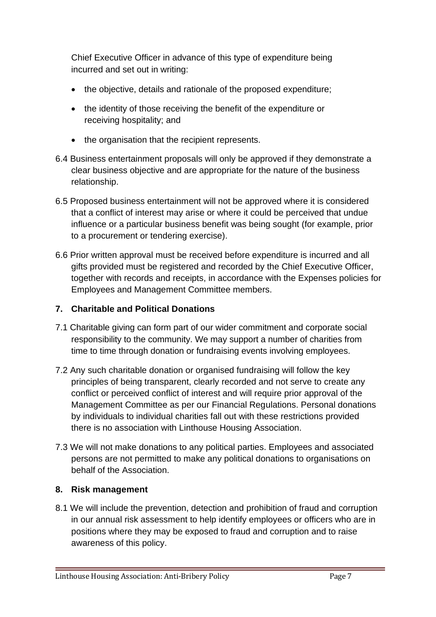Chief Executive Officer in advance of this type of expenditure being incurred and set out in writing:

- the objective, details and rationale of the proposed expenditure;
- the identity of those receiving the benefit of the expenditure or receiving hospitality; and
- the organisation that the recipient represents.
- 6.4 Business entertainment proposals will only be approved if they demonstrate a clear business objective and are appropriate for the nature of the business relationship.
- 6.5 Proposed business entertainment will not be approved where it is considered that a conflict of interest may arise or where it could be perceived that undue influence or a particular business benefit was being sought (for example, prior to a procurement or tendering exercise).
- 6.6 Prior written approval must be received before expenditure is incurred and all gifts provided must be registered and recorded by the Chief Executive Officer, together with records and receipts, in accordance with the Expenses policies for Employees and Management Committee members.

#### **7. Charitable and Political Donations**

- 7.1 Charitable giving can form part of our wider commitment and corporate social responsibility to the community. We may support a number of charities from time to time through donation or fundraising events involving employees.
- 7.2 Any such charitable donation or organised fundraising will follow the key principles of being transparent, clearly recorded and not serve to create any conflict or perceived conflict of interest and will require prior approval of the Management Committee as per our Financial Regulations. Personal donations by individuals to individual charities fall out with these restrictions provided there is no association with Linthouse Housing Association.
- 7.3 We will not make donations to any political parties. Employees and associated persons are not permitted to make any political donations to organisations on behalf of the Association.

#### **8. Risk management**

8.1 We will include the prevention, detection and prohibition of fraud and corruption in our annual risk assessment to help identify employees or officers who are in positions where they may be exposed to fraud and corruption and to raise awareness of this policy.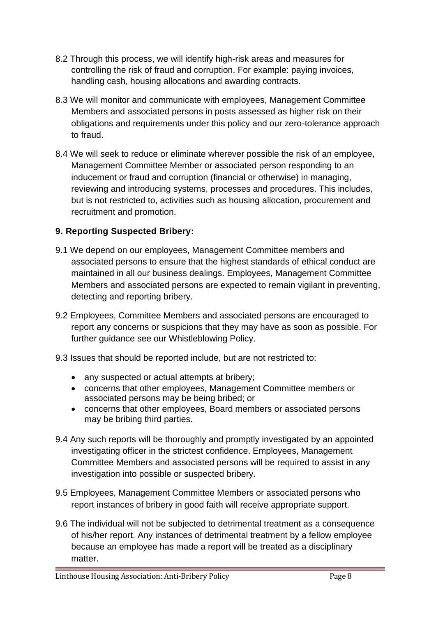- 8.2 Through this process, we will identify high-risk areas and measures for controlling the risk of fraud and corruption. For example: paying invoices, handling cash, housing allocations and awarding contracts.
- 8.3 We will monitor and communicate with employees, Management Committee Members and associated persons in posts assessed as higher risk on their obligations and requirements under this policy and our zero-tolerance approach to fraud.
- 8.4 We will seek to reduce or eliminate wherever possible the risk of an employee, Management Committee Member or associated person responding to an inducement or fraud and corruption (financial or otherwise) in managing, reviewing and introducing systems, processes and procedures. This includes, but is not restricted to, activities such as housing allocation, procurement and recruitment and promotion.

#### **9. Reporting Suspected Bribery:**

- 9.1 We depend on our employees, Management Committee members and associated persons to ensure that the highest standards of ethical conduct are maintained in all our business dealings. Employees, Management Committee Members and associated persons are expected to remain vigilant in preventing, detecting and reporting bribery.
- 9.2 Employees, Committee Members and associated persons are encouraged to report any concerns or suspicions that they may have as soon as possible. For further guidance see our Whistleblowing Policy.
- 9.3 Issues that should be reported include, but are not restricted to:
	- any suspected or actual attempts at bribery;
	- concerns that other employees, Management Committee members or associated persons may be being bribed; or
	- concerns that other employees, Board members or associated persons may be bribing third parties.
- 9.4 Any such reports will be thoroughly and promptly investigated by an appointed investigating officer in the strictest confidence. Employees, Management Committee Members and associated persons will be required to assist in any investigation into possible or suspected bribery.
- 9.5 Employees, Management Committee Members or associated persons who report instances of bribery in good faith will receive appropriate support.
- 9.6 The individual will not be subjected to detrimental treatment as a consequence of his/her report. Any instances of detrimental treatment by a fellow employee because an employee has made a report will be treated as a disciplinary matter.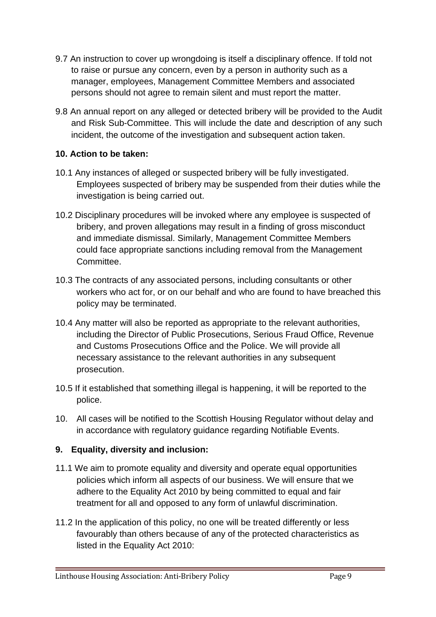- 9.7 An instruction to cover up wrongdoing is itself a disciplinary offence. If told not to raise or pursue any concern, even by a person in authority such as a manager, employees, Management Committee Members and associated persons should not agree to remain silent and must report the matter.
- 9.8 An annual report on any alleged or detected bribery will be provided to the Audit and Risk Sub-Committee. This will include the date and description of any such incident, the outcome of the investigation and subsequent action taken.

#### **10. Action to be taken:**

- 10.1 Any instances of alleged or suspected bribery will be fully investigated. Employees suspected of bribery may be suspended from their duties while the investigation is being carried out.
- 10.2 Disciplinary procedures will be invoked where any employee is suspected of bribery, and proven allegations may result in a finding of gross misconduct and immediate dismissal. Similarly, Management Committee Members could face appropriate sanctions including removal from the Management Committee.
- 10.3 The contracts of any associated persons, including consultants or other workers who act for, or on our behalf and who are found to have breached this policy may be terminated.
- 10.4 Any matter will also be reported as appropriate to the relevant authorities, including the Director of Public Prosecutions, Serious Fraud Office, Revenue and Customs Prosecutions Office and the Police. We will provide all necessary assistance to the relevant authorities in any subsequent prosecution.
- 10.5 If it established that something illegal is happening, it will be reported to the police.
- 10. All cases will be notified to the Scottish Housing Regulator without delay and in accordance with regulatory guidance regarding Notifiable Events.

#### **9. Equality, diversity and inclusion:**

- 11.1 We aim to promote equality and diversity and operate equal opportunities policies which inform all aspects of our business. We will ensure that we adhere to the Equality Act 2010 by being committed to equal and fair treatment for all and opposed to any form of unlawful discrimination.
- 11.2 In the application of this policy, no one will be treated differently or less favourably than others because of any of the protected characteristics as listed in the Equality Act 2010: